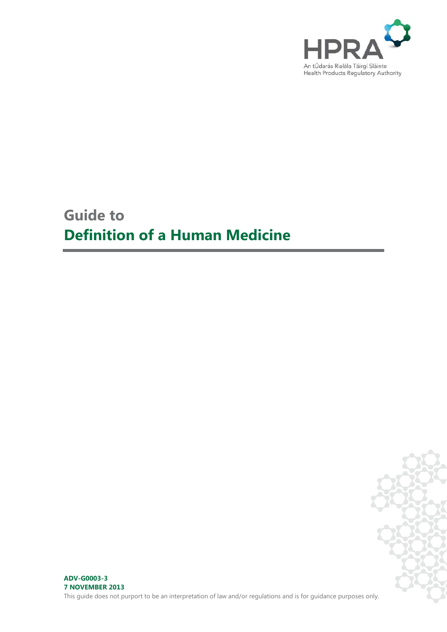

# **Guide to Definition of a Human Medicine**

**ADV-G0003-3 7 NOVEMBER 2013**

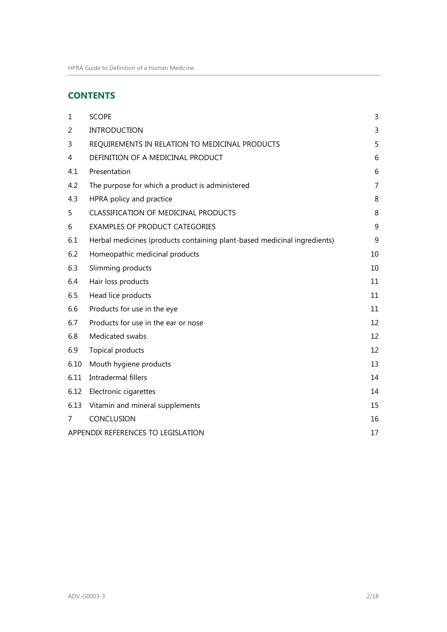# **CONTENTS**

| $\mathbf{1}$                       | <b>SCOPE</b>                                                             | 3  |
|------------------------------------|--------------------------------------------------------------------------|----|
| 2                                  | <b>INTRODUCTION</b>                                                      | 3  |
| 3                                  | REQUIREMENTS IN RELATION TO MEDICINAL PRODUCTS                           | 5  |
| 4                                  | DEFINITION OF A MEDICINAL PRODUCT                                        | 6  |
| 4.1                                | Presentation                                                             | 6  |
| 4.2                                | The purpose for which a product is administered                          | 7  |
| 4.3                                | HPRA policy and practice                                                 | 8  |
| 5                                  | CLASSIFICATION OF MEDICINAL PRODUCTS                                     | 8  |
| 6                                  | <b>EXAMPLES OF PRODUCT CATEGORIES</b>                                    | 9  |
| 6.1                                | Herbal medicines (products containing plant-based medicinal ingredients) | 9  |
| 6.2                                | Homeopathic medicinal products                                           | 10 |
| 6.3                                | Slimming products                                                        | 10 |
| 6.4                                | Hair loss products                                                       | 11 |
| 6.5                                | Head lice products                                                       | 11 |
| 6.6                                | Products for use in the eye                                              | 11 |
| 6.7                                | Products for use in the ear or nose                                      | 12 |
| 6.8                                | Medicated swabs                                                          | 12 |
| 6.9                                | Topical products                                                         | 12 |
| 6.10                               | Mouth hygiene products                                                   | 13 |
| 6.11                               | Intradermal fillers                                                      | 14 |
| 6.12                               | Electronic cigarettes                                                    | 14 |
| 6.13                               | Vitamin and mineral supplements                                          | 15 |
| 7                                  | CONCLUSION                                                               | 16 |
| APPENDIX REFERENCES TO LEGISLATION |                                                                          | 17 |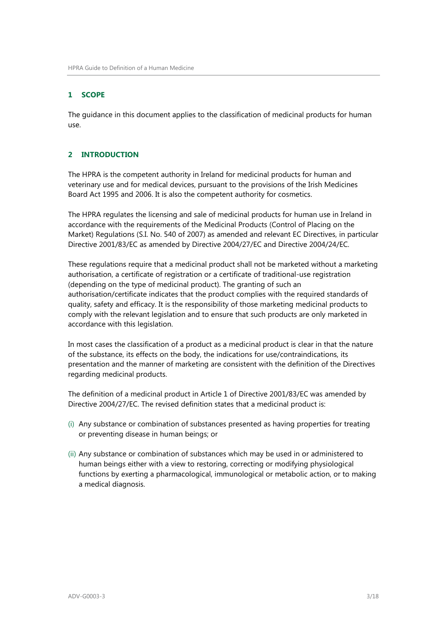#### <span id="page-2-0"></span>**1 SCOPE**

The guidance in this document applies to the classification of medicinal products for human use.

# <span id="page-2-1"></span>**2 INTRODUCTION**

The HPRA is the competent authority in Ireland for medicinal products for human and veterinary use and for medical devices, pursuant to the provisions of the Irish Medicines Board Act 1995 and 2006. It is also the competent authority for cosmetics.

The HPRA regulates the licensing and sale of medicinal products for human use in Ireland in accordance with the requirements of the Medicinal Products (Control of Placing on the Market) Regulations (S.I. No. 540 of 2007) as amended and relevant EC Directives, in particular Directive 2001/83/EC as amended by Directive 2004/27/EC and Directive 2004/24/EC.

These regulations require that a medicinal product shall not be marketed without a marketing authorisation, a certificate of registration or a certificate of traditional-use registration (depending on the type of medicinal product). The granting of such an authorisation/certificate indicates that the product complies with the required standards of quality, safety and efficacy. It is the responsibility of those marketing medicinal products to comply with the relevant legislation and to ensure that such products are only marketed in accordance with this legislation.

In most cases the classification of a product as a medicinal product is clear in that the nature of the substance, its effects on the body, the indications for use/contraindications, its presentation and the manner of marketing are consistent with the definition of the Directives regarding medicinal products.

The definition of a medicinal product in Article 1 of Directive 2001/83/EC was amended by Directive 2004/27/EC. The revised definition states that a medicinal product is:

- (i) Any substance or combination of substances presented as having properties for treating or preventing disease in human beings; or
- (ii) Any substance or combination of substances which may be used in or administered to human beings either with a view to restoring, correcting or modifying physiological functions by exerting a pharmacological, immunological or metabolic action, or to making a medical diagnosis.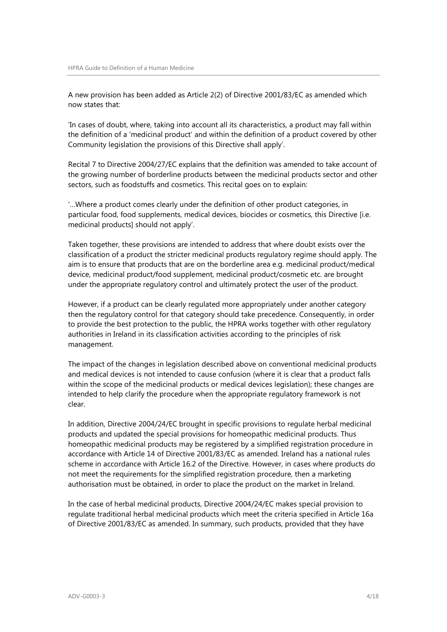A new provision has been added as Article 2(2) of Directive 2001/83/EC as amended which now states that:

'In cases of doubt, where, taking into account all its characteristics, a product may fall within the definition of a 'medicinal product' and within the definition of a product covered by other Community legislation the provisions of this Directive shall apply'.

Recital 7 to Directive 2004/27/EC explains that the definition was amended to take account of the growing number of borderline products between the medicinal products sector and other sectors, such as foodstuffs and cosmetics. This recital goes on to explain:

'…Where a product comes clearly under the definition of other product categories, in particular food, food supplements, medical devices, biocides or cosmetics, this Directive [i.e. medicinal products] should not apply'.

Taken together, these provisions are intended to address that where doubt exists over the classification of a product the stricter medicinal products regulatory regime should apply. The aim is to ensure that products that are on the borderline area e.g. medicinal product/medical device, medicinal product/food supplement, medicinal product/cosmetic etc. are brought under the appropriate regulatory control and ultimately protect the user of the product.

However, if a product can be clearly regulated more appropriately under another category then the regulatory control for that category should take precedence. Consequently, in order to provide the best protection to the public, the HPRA works together with other regulatory authorities in Ireland in its classification activities according to the principles of risk management.

The impact of the changes in legislation described above on conventional medicinal products and medical devices is not intended to cause confusion (where it is clear that a product falls within the scope of the medicinal products or medical devices legislation); these changes are intended to help clarify the procedure when the appropriate regulatory framework is not clear.

In addition, Directive 2004/24/EC brought in specific provisions to regulate herbal medicinal products and updated the special provisions for homeopathic medicinal products. Thus homeopathic medicinal products may be registered by a simplified registration procedure in accordance with Article 14 of Directive 2001/83/EC as amended. Ireland has a national rules scheme in accordance with Article 16.2 of the Directive. However, in cases where products do not meet the requirements for the simplified registration procedure, then a marketing authorisation must be obtained, in order to place the product on the market in Ireland.

In the case of herbal medicinal products, Directive 2004/24/EC makes special provision to regulate traditional herbal medicinal products which meet the criteria specified in Article 16a of Directive 2001/83/EC as amended. In summary, such products, provided that they have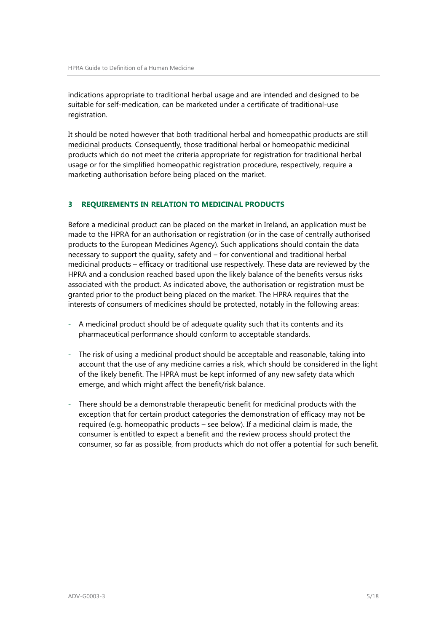indications appropriate to traditional herbal usage and are intended and designed to be suitable for self-medication, can be marketed under a certificate of traditional-use registration.

It should be noted however that both traditional herbal and homeopathic products are still medicinal products. Consequently, those traditional herbal or homeopathic medicinal products which do not meet the criteria appropriate for registration for traditional herbal usage or for the simplified homeopathic registration procedure, respectively, require a marketing authorisation before being placed on the market.

# <span id="page-4-0"></span>**3 REQUIREMENTS IN RELATION TO MEDICINAL PRODUCTS**

Before a medicinal product can be placed on the market in Ireland, an application must be made to the HPRA for an authorisation or registration (or in the case of centrally authorised products to the European Medicines Agency). Such applications should contain the data necessary to support the quality, safety and – for conventional and traditional herbal medicinal products – efficacy or traditional use respectively. These data are reviewed by the HPRA and a conclusion reached based upon the likely balance of the benefits versus risks associated with the product. As indicated above, the authorisation or registration must be granted prior to the product being placed on the market. The HPRA requires that the interests of consumers of medicines should be protected, notably in the following areas:

- A medicinal product should be of adequate quality such that its contents and its pharmaceutical performance should conform to acceptable standards.
- The risk of using a medicinal product should be acceptable and reasonable, taking into account that the use of any medicine carries a risk, which should be considered in the light of the likely benefit. The HPRA must be kept informed of any new safety data which emerge, and which might affect the benefit/risk balance.
- There should be a demonstrable therapeutic benefit for medicinal products with the exception that for certain product categories the demonstration of efficacy may not be required (e.g. homeopathic products – see below). If a medicinal claim is made, the consumer is entitled to expect a benefit and the review process should protect the consumer, so far as possible, from products which do not offer a potential for such benefit.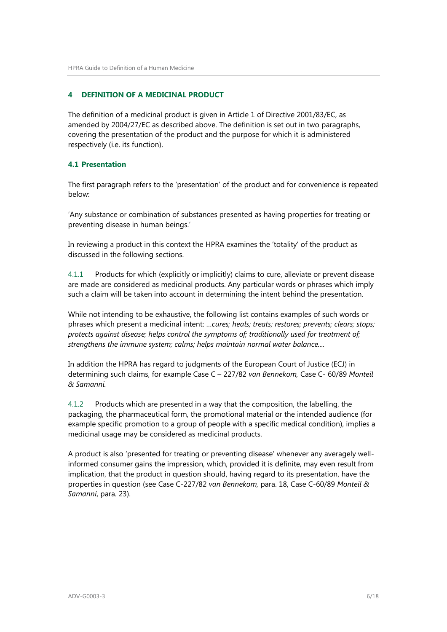# <span id="page-5-0"></span>**4 DEFINITION OF A MEDICINAL PRODUCT**

The definition of a medicinal product is given in Article 1 of Directive 2001/83/EC, as amended by 2004/27/EC as described above. The definition is set out in two paragraphs, covering the presentation of the product and the purpose for which it is administered respectively (i.e. its function).

#### <span id="page-5-1"></span>**4.1 Presentation**

The first paragraph refers to the 'presentation' of the product and for convenience is repeated below:

'Any substance or combination of substances presented as having properties for treating or preventing disease in human beings.'

In reviewing a product in this context the HPRA examines the 'totality' of the product as discussed in the following sections.

4.1.1 Products for which (explicitly or implicitly) claims to cure, alleviate or prevent disease are made are considered as medicinal products. Any particular words or phrases which imply such a claim will be taken into account in determining the intent behind the presentation.

While not intending to be exhaustive, the following list contains examples of such words or phrases which present a medicinal intent: …*cures; heals; treats; restores; prevents; clears; stops; protects against disease; helps control the symptoms of; traditionally used for treatment of; strengthens the immune system; calms; helps maintain normal water balance....*

In addition the HPRA has regard to judgments of the European Court of Justice (ECJ) in determining such claims, for example Case C – 227/82 *van Bennekom,* Case C- 60/89 *Monteil & Samanni.*

4.1.2 Products which are presented in a way that the composition, the labelling, the packaging, the pharmaceutical form, the promotional material or the intended audience (for example specific promotion to a group of people with a specific medical condition), implies a medicinal usage may be considered as medicinal products.

A product is also 'presented for treating or preventing disease' whenever any averagely wellinformed consumer gains the impression, which, provided it is definite, may even result from implication, that the product in question should, having regard to its presentation, have the properties in question (see Case C-227/82 *van Bennekom,* para. 18, Case C-60/89 *Monteil & Samanni*, para. 23).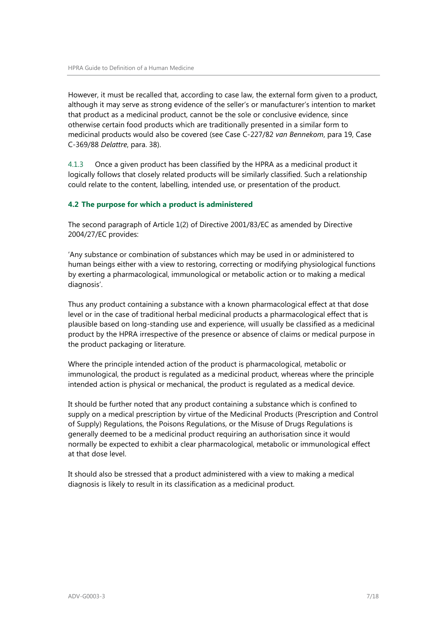However, it must be recalled that, according to case law, the external form given to a product, although it may serve as strong evidence of the seller's or manufacturer's intention to market that product as a medicinal product, cannot be the sole or conclusive evidence, since otherwise certain food products which are traditionally presented in a similar form to medicinal products would also be covered (see Case C-227/82 *van Bennekom*, para 19, Case C-369/88 *Delattre*, para. 38).

4.1.3 Once a given product has been classified by the HPRA as a medicinal product it logically follows that closely related products will be similarly classified. Such a relationship could relate to the content, labelling, intended use, or presentation of the product.

#### <span id="page-6-0"></span>**4.2 The purpose for which a product is administered**

The second paragraph of Article 1(2) of Directive 2001/83/EC as amended by Directive 2004/27/EC provides:

'Any substance or combination of substances which may be used in or administered to human beings either with a view to restoring, correcting or modifying physiological functions by exerting a pharmacological, immunological or metabolic action or to making a medical diagnosis'.

Thus any product containing a substance with a known pharmacological effect at that dose level or in the case of traditional herbal medicinal products a pharmacological effect that is plausible based on long-standing use and experience, will usually be classified as a medicinal product by the HPRA irrespective of the presence or absence of claims or medical purpose in the product packaging or literature.

Where the principle intended action of the product is pharmacological, metabolic or immunological, the product is regulated as a medicinal product, whereas where the principle intended action is physical or mechanical, the product is regulated as a medical device.

It should be further noted that any product containing a substance which is confined to supply on a medical prescription by virtue of the Medicinal Products (Prescription and Control of Supply) Regulations, the Poisons Regulations, or the Misuse of Drugs Regulations is generally deemed to be a medicinal product requiring an authorisation since it would normally be expected to exhibit a clear pharmacological, metabolic or immunological effect at that dose level.

It should also be stressed that a product administered with a view to making a medical diagnosis is likely to result in its classification as a medicinal product.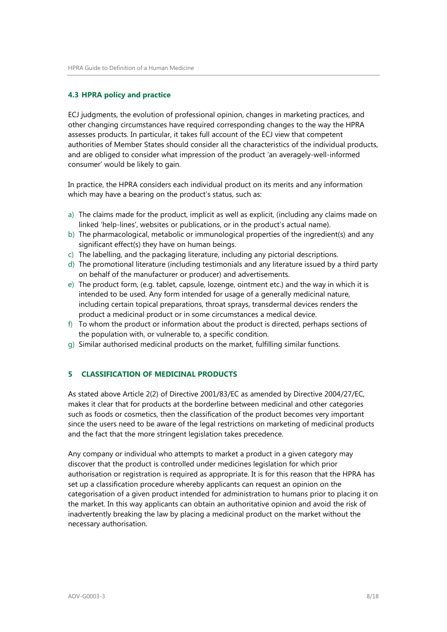### <span id="page-7-0"></span>**4.3 HPRA policy and practice**

ECJ judgments, the evolution of professional opinion, changes in marketing practices, and other changing circumstances have required corresponding changes to the way the HPRA assesses products. In particular, it takes full account of the ECJ view that competent authorities of Member States should consider all the characteristics of the individual products, and are obliged to consider what impression of the product 'an averagely-well-informed consumer' would be likely to gain.

In practice, the HPRA considers each individual product on its merits and any information which may have a bearing on the product's status, such as:

- a) The claims made for the product, implicit as well as explicit, (including any claims made on linked 'help-lines', websites or publications, or in the product's actual name).
- b) The pharmacological, metabolic or immunological properties of the ingredient(s) and any significant effect(s) they have on human beings.
- c) The labelling, and the packaging literature, including any pictorial descriptions.
- d) The promotional literature (including testimonials and any literature issued by a third party on behalf of the manufacturer or producer) and advertisements.
- e) The product form, (e.g. tablet, capsule, lozenge, ointment etc.) and the way in which it is intended to be used. Any form intended for usage of a generally medicinal nature, including certain topical preparations, throat sprays, transdermal devices renders the product a medicinal product or in some circumstances a medical device.
- f) To whom the product or information about the product is directed, perhaps sections of the population with, or vulnerable to, a specific condition.
- g) Similar authorised medicinal products on the market, fulfilling similar functions.

# <span id="page-7-1"></span>**5 CLASSIFICATION OF MEDICINAL PRODUCTS**

As stated above Article 2(2) of Directive 2001/83/EC as amended by Directive 2004/27/EC, makes it clear that for products at the borderline between medicinal and other categories such as foods or cosmetics, then the classification of the product becomes very important since the users need to be aware of the legal restrictions on marketing of medicinal products and the fact that the more stringent legislation takes precedence.

Any company or individual who attempts to market a product in a given category may discover that the product is controlled under medicines legislation for which prior authorisation or registration is required as appropriate. It is for this reason that the HPRA has set up a classification procedure whereby applicants can request an opinion on the categorisation of a given product intended for administration to humans prior to placing it on the market. In this way applicants can obtain an authoritative opinion and avoid the risk of inadvertently breaking the law by placing a medicinal product on the market without the necessary authorisation.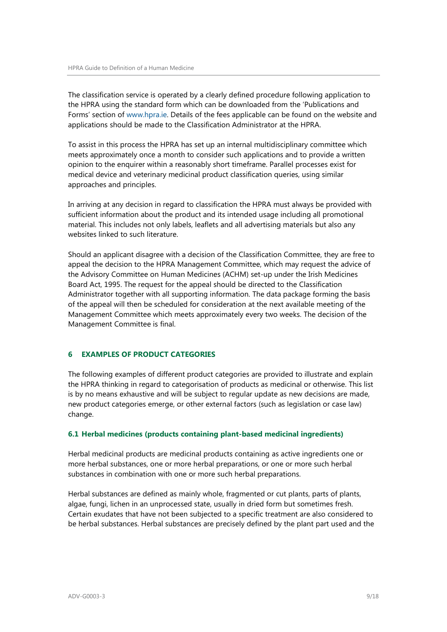The classification service is operated by a clearly defined procedure following application to the HPRA using the standard form which can be downloaded from the 'Publications and Forms' section of [www.hpra.ie.](http://www.hpra.ie/) Details of the fees applicable can be found on the website and applications should be made to the Classification Administrator at the HPRA.

To assist in this process the HPRA has set up an internal multidisciplinary committee which meets approximately once a month to consider such applications and to provide a written opinion to the enquirer within a reasonably short timeframe. Parallel processes exist for medical device and veterinary medicinal product classification queries, using similar approaches and principles.

In arriving at any decision in regard to classification the HPRA must always be provided with sufficient information about the product and its intended usage including all promotional material. This includes not only labels, leaflets and all advertising materials but also any websites linked to such literature.

Should an applicant disagree with a decision of the Classification Committee, they are free to appeal the decision to the HPRA Management Committee, which may request the advice of the Advisory Committee on Human Medicines (ACHM) set-up under the Irish Medicines Board Act, 1995. The request for the appeal should be directed to the Classification Administrator together with all supporting information. The data package forming the basis of the appeal will then be scheduled for consideration at the next available meeting of the Management Committee which meets approximately every two weeks. The decision of the Management Committee is final.

#### <span id="page-8-0"></span>**6 EXAMPLES OF PRODUCT CATEGORIES**

The following examples of different product categories are provided to illustrate and explain the HPRA thinking in regard to categorisation of products as medicinal or otherwise. This list is by no means exhaustive and will be subject to regular update as new decisions are made, new product categories emerge, or other external factors (such as legislation or case law) change.

#### <span id="page-8-1"></span>**6.1 Herbal medicines (products containing plant-based medicinal ingredients)**

Herbal medicinal products are medicinal products containing as active ingredients one or more herbal substances, one or more herbal preparations, or one or more such herbal substances in combination with one or more such herbal preparations.

Herbal substances are defined as mainly whole, fragmented or cut plants, parts of plants, algae, fungi, lichen in an unprocessed state, usually in dried form but sometimes fresh. Certain exudates that have not been subjected to a specific treatment are also considered to be herbal substances. Herbal substances are precisely defined by the plant part used and the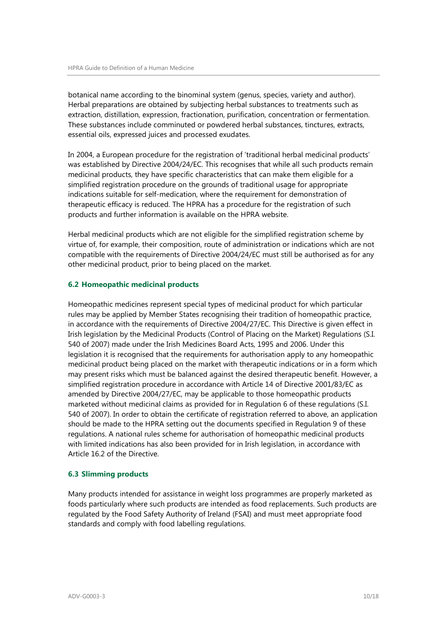botanical name according to the binominal system (genus, species, variety and author). Herbal preparations are obtained by subjecting herbal substances to treatments such as extraction, distillation, expression, fractionation, purification, concentration or fermentation. These substances include comminuted or powdered herbal substances, tinctures, extracts, essential oils, expressed juices and processed exudates.

In 2004, a European procedure for the registration of 'traditional herbal medicinal products' was established by Directive 2004/24/EC. This recognises that while all such products remain medicinal products, they have specific characteristics that can make them eligible for a simplified registration procedure on the grounds of traditional usage for appropriate indications suitable for self-medication, where the requirement for demonstration of therapeutic efficacy is reduced. The HPRA has a procedure for the registration of such products and further information is available on the HPRA website.

Herbal medicinal products which are not eligible for the simplified registration scheme by virtue of, for example, their composition, route of administration or indications which are not compatible with the requirements of Directive 2004/24/EC must still be authorised as for any other medicinal product, prior to being placed on the market.

#### <span id="page-9-0"></span>**6.2 Homeopathic medicinal products**

Homeopathic medicines represent special types of medicinal product for which particular rules may be applied by Member States recognising their tradition of homeopathic practice, in accordance with the requirements of Directive 2004/27/EC. This Directive is given effect in Irish legislation by the Medicinal Products (Control of Placing on the Market) Regulations (S.I. 540 of 2007) made under the Irish Medicines Board Acts, 1995 and 2006. Under this legislation it is recognised that the requirements for authorisation apply to any homeopathic medicinal product being placed on the market with therapeutic indications or in a form which may present risks which must be balanced against the desired therapeutic benefit. However, a simplified registration procedure in accordance with Article 14 of Directive 2001/83/EC as amended by Directive 2004/27/EC, may be applicable to those homeopathic products marketed without medicinal claims as provided for in Regulation 6 of these regulations (S.I. 540 of 2007). In order to obtain the certificate of registration referred to above, an application should be made to the HPRA setting out the documents specified in Regulation 9 of these regulations. A national rules scheme for authorisation of homeopathic medicinal products with limited indications has also been provided for in Irish legislation, in accordance with Article 16.2 of the Directive.

#### <span id="page-9-1"></span>**6.3 Slimming products**

Many products intended for assistance in weight loss programmes are properly marketed as foods particularly where such products are intended as food replacements. Such products are regulated by the Food Safety Authority of Ireland (FSAI) and must meet appropriate food standards and comply with food labelling regulations.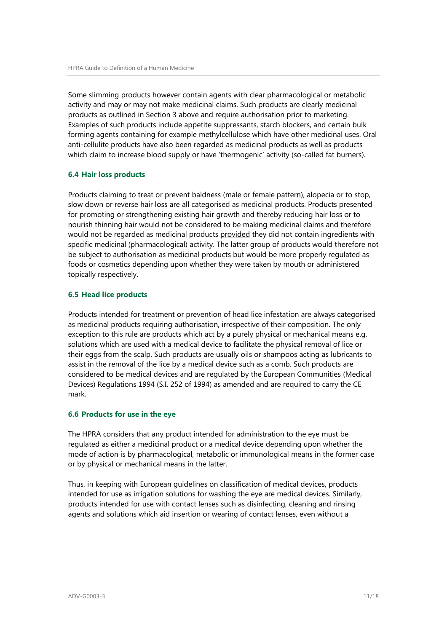Some slimming products however contain agents with clear pharmacological or metabolic activity and may or may not make medicinal claims. Such products are clearly medicinal products as outlined in Section 3 above and require authorisation prior to marketing. Examples of such products include appetite suppressants, starch blockers, and certain bulk forming agents containing for example methylcellulose which have other medicinal uses. Oral anti-cellulite products have also been regarded as medicinal products as well as products which claim to increase blood supply or have 'thermogenic' activity (so-called fat burners).

#### <span id="page-10-0"></span>**6.4 Hair loss products**

Products claiming to treat or prevent baldness (male or female pattern), alopecia or to stop, slow down or reverse hair loss are all categorised as medicinal products. Products presented for promoting or strengthening existing hair growth and thereby reducing hair loss or to nourish thinning hair would not be considered to be making medicinal claims and therefore would not be regarded as medicinal products provided they did not contain ingredients with specific medicinal (pharmacological) activity. The latter group of products would therefore not be subject to authorisation as medicinal products but would be more properly regulated as foods or cosmetics depending upon whether they were taken by mouth or administered topically respectively.

#### <span id="page-10-1"></span>**6.5 Head lice products**

Products intended for treatment or prevention of head lice infestation are always categorised as medicinal products requiring authorisation, irrespective of their composition. The only exception to this rule are products which act by a purely physical or mechanical means e.g. solutions which are used with a medical device to facilitate the physical removal of lice or their eggs from the scalp. Such products are usually oils or shampoos acting as lubricants to assist in the removal of the lice by a medical device such as a comb. Such products are considered to be medical devices and are regulated by the European Communities (Medical Devices) Regulations 1994 (S.I. 252 of 1994) as amended and are required to carry the CE mark.

#### <span id="page-10-2"></span>**6.6 Products for use in the eye**

The HPRA considers that any product intended for administration to the eye must be regulated as either a medicinal product or a medical device depending upon whether the mode of action is by pharmacological, metabolic or immunological means in the former case or by physical or mechanical means in the latter.

Thus, in keeping with European guidelines on classification of medical devices, products intended for use as irrigation solutions for washing the eye are medical devices. Similarly, products intended for use with contact lenses such as disinfecting, cleaning and rinsing agents and solutions which aid insertion or wearing of contact lenses, even without a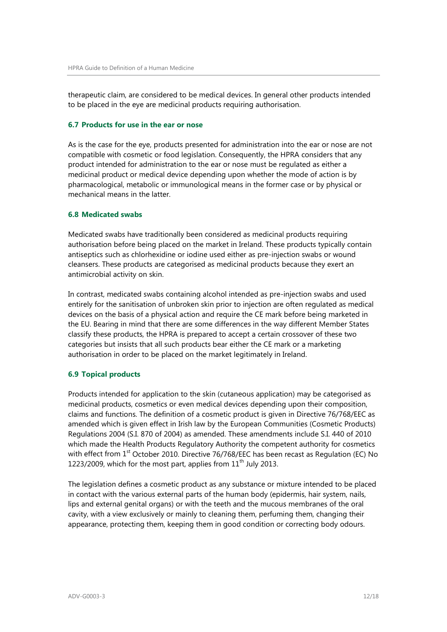therapeutic claim, are considered to be medical devices. In general other products intended to be placed in the eye are medicinal products requiring authorisation.

#### <span id="page-11-0"></span>**6.7 Products for use in the ear or nose**

As is the case for the eye, products presented for administration into the ear or nose are not compatible with cosmetic or food legislation. Consequently, the HPRA considers that any product intended for administration to the ear or nose must be regulated as either a medicinal product or medical device depending upon whether the mode of action is by pharmacological, metabolic or immunological means in the former case or by physical or mechanical means in the latter.

#### <span id="page-11-1"></span>**6.8 Medicated swabs**

Medicated swabs have traditionally been considered as medicinal products requiring authorisation before being placed on the market in Ireland. These products typically contain antiseptics such as chlorhexidine or iodine used either as pre-injection swabs or wound cleansers. These products are categorised as medicinal products because they exert an antimicrobial activity on skin.

In contrast, medicated swabs containing alcohol intended as pre-injection swabs and used entirely for the sanitisation of unbroken skin prior to injection are often regulated as medical devices on the basis of a physical action and require the CE mark before being marketed in the EU. Bearing in mind that there are some differences in the way different Member States classify these products, the HPRA is prepared to accept a certain crossover of these two categories but insists that all such products bear either the CE mark or a marketing authorisation in order to be placed on the market legitimately in Ireland.

#### <span id="page-11-2"></span>**6.9 Topical products**

Products intended for application to the skin (cutaneous application) may be categorised as medicinal products, cosmetics or even medical devices depending upon their composition, claims and functions. The definition of a cosmetic product is given in Directive 76/768/EEC as amended which is given effect in Irish law by the European Communities (Cosmetic Products) Regulations 2004 (S.I. 870 of 2004) as amended. These amendments include S.I. 440 of 2010 which made the Health Products Regulatory Authority the competent authority for cosmetics with effect from 1<sup>st</sup> October 2010. Directive 76/768/EEC has been recast as Regulation (EC) No 1223/2009, which for the most part, applies from  $11<sup>th</sup>$  July 2013.

The legislation defines a cosmetic product as any substance or mixture intended to be placed in contact with the various external parts of the human body (epidermis, hair system, nails, lips and external genital organs) or with the teeth and the mucous membranes of the oral cavity, with a view exclusively or mainly to cleaning them, perfuming them, changing their appearance, protecting them, keeping them in good condition or correcting body odours.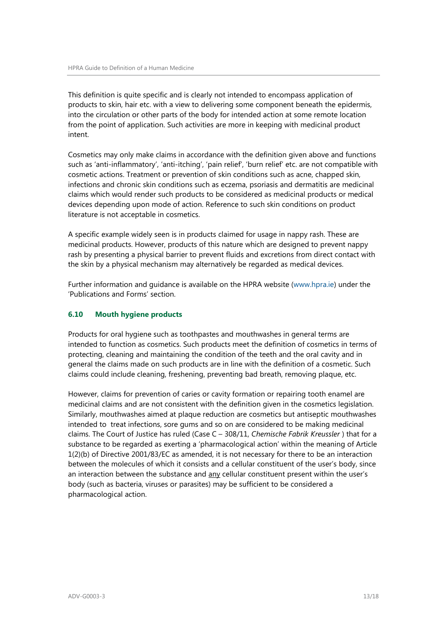This definition is quite specific and is clearly not intended to encompass application of products to skin, hair etc. with a view to delivering some component beneath the epidermis, into the circulation or other parts of the body for intended action at some remote location from the point of application. Such activities are more in keeping with medicinal product intent.

Cosmetics may only make claims in accordance with the definition given above and functions such as 'anti-inflammatory', 'anti-itching', 'pain relief', 'burn relief' etc. are not compatible with cosmetic actions. Treatment or prevention of skin conditions such as acne, chapped skin, infections and chronic skin conditions such as eczema, psoriasis and dermatitis are medicinal claims which would render such products to be considered as medicinal products or medical devices depending upon mode of action. Reference to such skin conditions on product literature is not acceptable in cosmetics.

A specific example widely seen is in products claimed for usage in nappy rash. These are medicinal products. However, products of this nature which are designed to prevent nappy rash by presenting a physical barrier to prevent fluids and excretions from direct contact with the skin by a physical mechanism may alternatively be regarded as medical devices.

Further information and guidance is available on the HPRA website [\(www.hpra.ie\)](http://www.hpra.ie/) under the 'Publications and Forms' section.

### <span id="page-12-0"></span>**6.10 Mouth hygiene products**

Products for oral hygiene such as toothpastes and mouthwashes in general terms are intended to function as cosmetics. Such products meet the definition of cosmetics in terms of protecting, cleaning and maintaining the condition of the teeth and the oral cavity and in general the claims made on such products are in line with the definition of a cosmetic. Such claims could include cleaning, freshening, preventing bad breath, removing plaque, etc.

However, claims for prevention of caries or cavity formation or repairing tooth enamel are medicinal claims and are not consistent with the definition given in the cosmetics legislation. Similarly, mouthwashes aimed at plaque reduction are cosmetics but antiseptic mouthwashes intended to treat infections, sore gums and so on are considered to be making medicinal claims. The Court of Justice has ruled (Case C – 308/11, *Chemische Fabrik Kreussler* ) that for a substance to be regarded as exerting a 'pharmacological action' within the meaning of Article 1(2)(b) of Directive 2001/83/EC as amended, it is not necessary for there to be an interaction between the molecules of which it consists and a cellular constituent of the user's body, since an interaction between the substance and any cellular constituent present within the user's body (such as bacteria, viruses or parasites) may be sufficient to be considered a pharmacological action.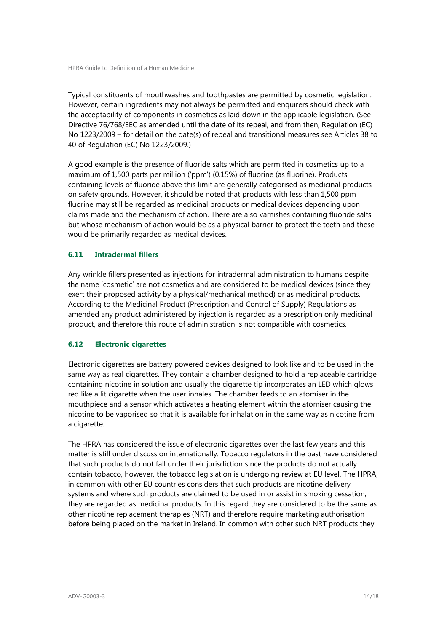Typical constituents of mouthwashes and toothpastes are permitted by cosmetic legislation. However, certain ingredients may not always be permitted and enquirers should check with the acceptability of components in cosmetics as laid down in the applicable legislation. (See Directive 76/768/EEC as amended until the date of its repeal, and from then, Regulation (EC) No 1223/2009 – for detail on the date(s) of repeal and transitional measures see Articles 38 to 40 of Regulation (EC) No 1223/2009.)

A good example is the presence of fluoride salts which are permitted in cosmetics up to a maximum of 1,500 parts per million ('ppm') (0.15%) of fluorine (as fluorine). Products containing levels of fluoride above this limit are generally categorised as medicinal products on safety grounds. However, it should be noted that products with less than 1,500 ppm fluorine may still be regarded as medicinal products or medical devices depending upon claims made and the mechanism of action. There are also varnishes containing fluoride salts but whose mechanism of action would be as a physical barrier to protect the teeth and these would be primarily regarded as medical devices.

# <span id="page-13-0"></span>**6.11 Intradermal fillers**

Any wrinkle fillers presented as injections for intradermal administration to humans despite the name 'cosmetic' are not cosmetics and are considered to be medical devices (since they exert their proposed activity by a physical/mechanical method) or as medicinal products. According to the Medicinal Product (Prescription and Control of Supply) Regulations as amended any product administered by injection is regarded as a prescription only medicinal product, and therefore this route of administration is not compatible with cosmetics.

#### <span id="page-13-1"></span>**6.12 Electronic cigarettes**

Electronic cigarettes are battery powered devices designed to look like and to be used in the same way as real cigarettes. They contain a chamber designed to hold a replaceable cartridge containing nicotine in solution and usually the cigarette tip incorporates an LED which glows red like a lit cigarette when the user inhales. The chamber feeds to an atomiser in the mouthpiece and a sensor which activates a heating element within the atomiser causing the nicotine to be vaporised so that it is available for inhalation in the same way as nicotine from a cigarette.

The HPRA has considered the issue of electronic cigarettes over the last few years and this matter is still under discussion internationally. Tobacco regulators in the past have considered that such products do not fall under their jurisdiction since the products do not actually contain tobacco, however, the tobacco legislation is undergoing review at EU level. The HPRA, in common with other EU countries considers that such products are nicotine delivery systems and where such products are claimed to be used in or assist in smoking cessation, they are regarded as medicinal products. In this regard they are considered to be the same as other nicotine replacement therapies (NRT) and therefore require marketing authorisation before being placed on the market in Ireland. In common with other such NRT products they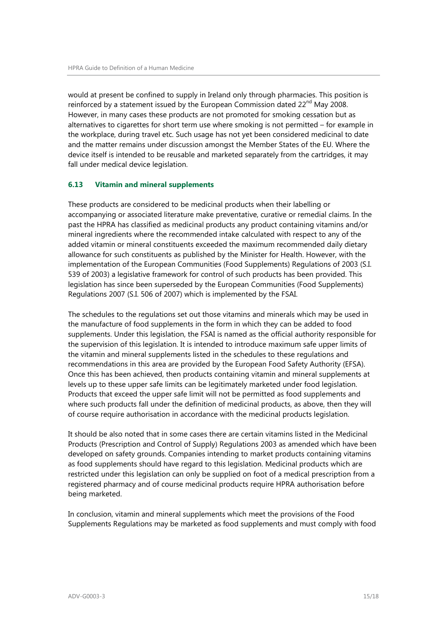would at present be confined to supply in Ireland only through pharmacies. This position is reinforced by a statement issued by the European Commission dated  $22^{nd}$  May 2008. However, in many cases these products are not promoted for smoking cessation but as alternatives to cigarettes for short term use where smoking is not permitted – for example in the workplace, during travel etc. Such usage has not yet been considered medicinal to date and the matter remains under discussion amongst the Member States of the EU. Where the device itself is intended to be reusable and marketed separately from the cartridges, it may fall under medical device legislation.

### <span id="page-14-0"></span>**6.13 Vitamin and mineral supplements**

These products are considered to be medicinal products when their labelling or accompanying or associated literature make preventative, curative or remedial claims. In the past the HPRA has classified as medicinal products any product containing vitamins and/or mineral ingredients where the recommended intake calculated with respect to any of the added vitamin or mineral constituents exceeded the maximum recommended daily dietary allowance for such constituents as published by the Minister for Health. However, with the implementation of the European Communities (Food Supplements) Regulations of 2003 (S.I. 539 of 2003) a legislative framework for control of such products has been provided. This legislation has since been superseded by the European Communities (Food Supplements) Regulations 2007 (S.I. 506 of 2007) which is implemented by the FSAI.

The schedules to the regulations set out those vitamins and minerals which may be used in the manufacture of food supplements in the form in which they can be added to food supplements. Under this legislation, the FSAI is named as the official authority responsible for the supervision of this legislation. It is intended to introduce maximum safe upper limits of the vitamin and mineral supplements listed in the schedules to these regulations and recommendations in this area are provided by the European Food Safety Authority (EFSA). Once this has been achieved, then products containing vitamin and mineral supplements at levels up to these upper safe limits can be legitimately marketed under food legislation. Products that exceed the upper safe limit will not be permitted as food supplements and where such products fall under the definition of medicinal products, as above, then they will of course require authorisation in accordance with the medicinal products legislation.

It should be also noted that in some cases there are certain vitamins listed in the Medicinal Products (Prescription and Control of Supply) Regulations 2003 as amended which have been developed on safety grounds. Companies intending to market products containing vitamins as food supplements should have regard to this legislation. Medicinal products which are restricted under this legislation can only be supplied on foot of a medical prescription from a registered pharmacy and of course medicinal products require HPRA authorisation before being marketed.

In conclusion, vitamin and mineral supplements which meet the provisions of the Food Supplements Regulations may be marketed as food supplements and must comply with food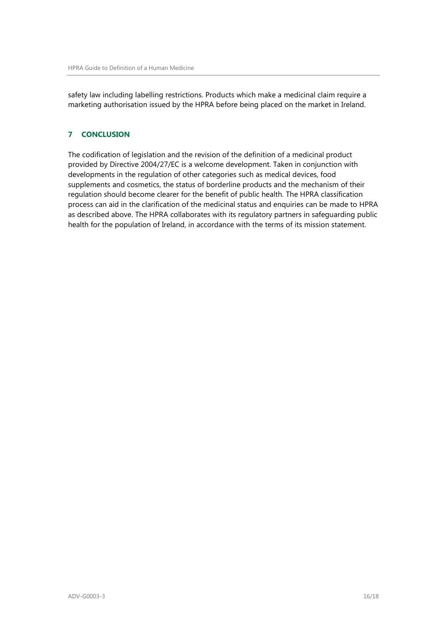safety law including labelling restrictions. Products which make a medicinal claim require a marketing authorisation issued by the HPRA before being placed on the market in Ireland.

# <span id="page-15-0"></span>**7 CONCLUSION**

The codification of legislation and the revision of the definition of a medicinal product provided by Directive 2004/27/EC is a welcome development. Taken in conjunction with developments in the regulation of other categories such as medical devices, food supplements and cosmetics, the status of borderline products and the mechanism of their regulation should become clearer for the benefit of public health. The HPRA classification process can aid in the clarification of the medicinal status and enquiries can be made to HPRA as described above. The HPRA collaborates with its regulatory partners in safeguarding public health for the population of Ireland, in accordance with the terms of its mission statement.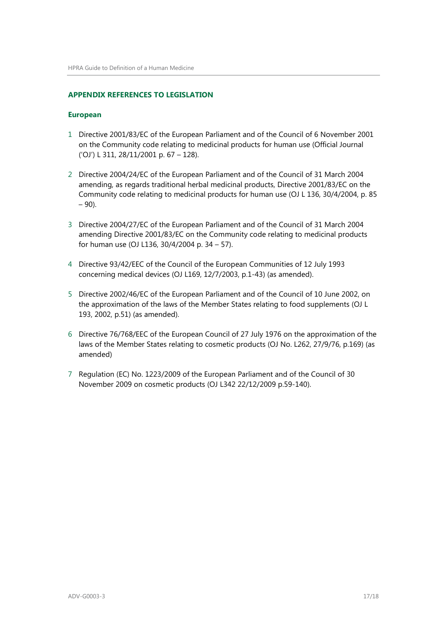#### <span id="page-16-0"></span>**APPENDIX REFERENCES TO LEGISLATION**

#### **European**

- 1 Directive 2001/83/EC of the European Parliament and of the Council of 6 November 2001 on the Community code relating to medicinal products for human use (Official Journal ('OJ') L 311, 28/11/2001 p. 67 – 128).
- 2 Directive 2004/24/EC of the European Parliament and of the Council of 31 March 2004 amending, as regards traditional herbal medicinal products, Directive 2001/83/EC on the Community code relating to medicinal products for human use (OJ L 136, 30/4/2004, p. 85  $-90$ ).
- 3 Directive 2004/27/EC of the European Parliament and of the Council of 31 March 2004 amending Directive 2001/83/EC on the Community code relating to medicinal products for human use (OJ L136, 30/4/2004 p. 34 – 57).
- 4 Directive 93/42/EEC of the Council of the European Communities of 12 July 1993 concerning medical devices (OJ L169, 12/7/2003, p.1-43) (as amended).
- 5 Directive 2002/46/EC of the European Parliament and of the Council of 10 June 2002, on the approximation of the laws of the Member States relating to food supplements (OJ L 193, 2002, p.51) (as amended).
- 6 Directive 76/768/EEC of the European Council of 27 July 1976 on the approximation of the laws of the Member States relating to cosmetic products (OJ No. L262, 27/9/76, p.169) (as amended)
- 7 Regulation (EC) No. 1223/2009 of the European Parliament and of the Council of 30 November 2009 on cosmetic products (OJ L342 22/12/2009 p.59-140).